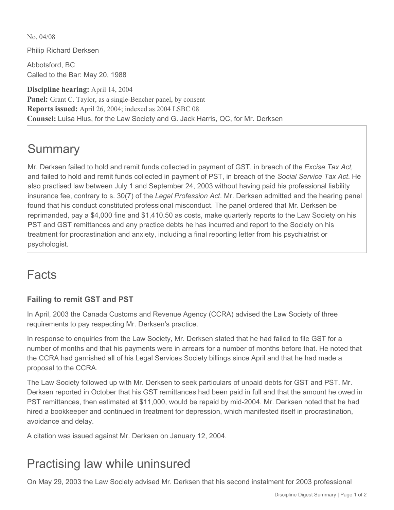No. 04/08

Philip Richard Derksen

Abbotsford, BC Called to the Bar: May 20, 1988

**Discipline hearing:** April 14, 2004 **Panel:** Grant C. Taylor, as a single-Bencher panel, by consent **Reports issued:** April 26, 2004; indexed as 2004 LSBC 08 **Counsel:** Luisa Hlus, for the Law Society and G. Jack Harris, QC, for Mr. Derksen

# **Summary**

Mr. Derksen failed to hold and remit funds collected in payment of GST, in breach of the *Excise Tax Act,* and failed to hold and remit funds collected in payment of PST, in breach of the *Social Service Tax Act*. He also practised law between July 1 and September 24, 2003 without having paid his professional liability insurance fee, contrary to s. 30(7) of the *Legal Profession Act*. Mr. Derksen admitted and the hearing panel found that his conduct constituted professional misconduct. The panel ordered that Mr. Derksen be reprimanded, pay a \$4,000 fine and \$1,410.50 as costs, make quarterly reports to the Law Society on his PST and GST remittances and any practice debts he has incurred and report to the Society on his treatment for procrastination and anxiety, including a final reporting letter from his psychiatrist or psychologist.

## Facts

#### **Failing to remit GST and PST**

In April, 2003 the Canada Customs and Revenue Agency (CCRA) advised the Law Society of three requirements to pay respecting Mr. Derksen's practice.

In response to enquiries from the Law Society, Mr. Derksen stated that he had failed to file GST for a number of months and that his payments were in arrears for a number of months before that. He noted that the CCRA had garnished all of his Legal Services Society billings since April and that he had made a proposal to the CCRA.

The Law Society followed up with Mr. Derksen to seek particulars of unpaid debts for GST and PST. Mr. Derksen reported in October that his GST remittances had been paid in full and that the amount he owed in PST remittances, then estimated at \$11,000, would be repaid by mid-2004. Mr. Derksen noted that he had hired a bookkeeper and continued in treatment for depression, which manifested itself in procrastination, avoidance and delay.

A citation was issued against Mr. Derksen on January 12, 2004.

## Practising law while uninsured

On May 29, 2003 the Law Society advised Mr. Derksen that his second instalment for 2003 professional